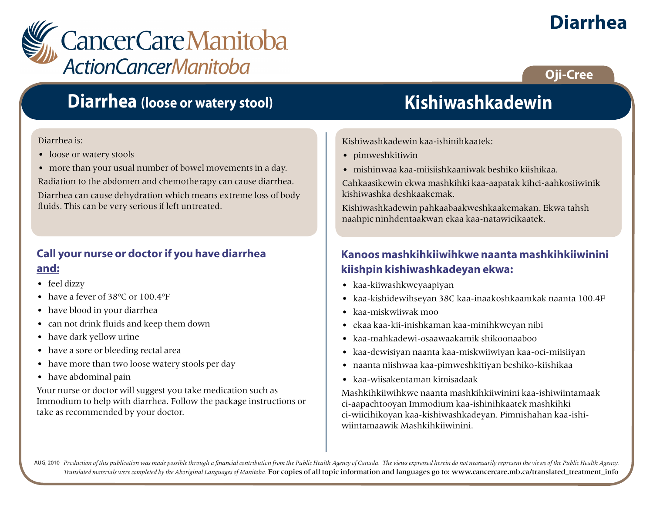

# **Diarrhea (loose or watery stool)**

#### Diarrhea is:

- loose or watery stools
- more than your usual number of bowel movements in a day.

Radiation to the abdomen and chemotherapy can cause diarrhea.

Diarrhea can cause dehydration which means extreme loss of body fluids. This can be very serious if left untreated.

### **Call your nurse or doctor if you have diarrhea and:**

- feel dizzy
- have a fever of 38ºC or 100.4ºF
- have blood in your diarrhea
- can not drink fluids and keep them down
- have dark yellow urine
- have a sore or bleeding rectal area
- have more than two loose watery stools per day
- have abdominal pain

Your nurse or doctor will suggest you take medication such as Immodium to help with diarrhea. Follow the package instructions or take as recommended by your doctor.

# **Kishiwashkadewin**

Kishiwashkadewin kaa-ishinihkaatek:

- pimweshkitiwin
- mishinwaa kaa-miisiishkaaniwak beshiko kiishikaa.

Cahkaasikewin ekwa mashkihki kaa-aapatak kihci-aahkosiiwinik kishiwashka deshkaakemak.

Kishiwashkadewin pahkaabaakweshkaakemakan. Ekwa tahsh naahpic ninhdentaakwan ekaa kaa-natawicikaatek.

### **Kanoos mashkihkiiwihkwe naanta mashkihkiiwinini kiishpin kishiwashkadeyan ekwa:**

- kaa-kiiwashkweyaapiyan
- kaa-kishidewihseyan 38C kaa-inaakoshkaamkak naanta 100.4F
- kaa-miskwiiwak moo
- ekaa kaa-kii-inishkaman kaa-minihkweyan nibi
- kaa-mahkadewi-osaawaakamik shikoonaaboo
- kaa-dewisiyan naanta kaa-miskwiiwiyan kaa-oci-miisiiyan
- naanta niishwaa kaa-pimweshkitiyan beshiko-kiishikaa
- kaa-wiisakentaman kimisadaak

Mashkihkiiwihkwe naanta mashkihkiiwinini kaa-ishiwiintamaak ci-aapachtooyan Immodium kaa-ishinihkaatek mashkihki ci-wiicihikoyan kaa-kishiwashkadeyan. Pimnishahan kaa-ishiwiintamaawik Mashkihkiiwinini.

AUG, 2010 Production of this publication was made possible through a financial contribution from the Public Health Agency of Canada. The views expressed herein do not necessarily represent the views of the Public Health Ag *Translated materials were completed by the Aboriginal Languages of Manitoba.* For copies of all topic information and languages go to: www.cancercare.mb.ca/translated\_treatment\_info

# **Diarrhea**

**Oji-Cree**